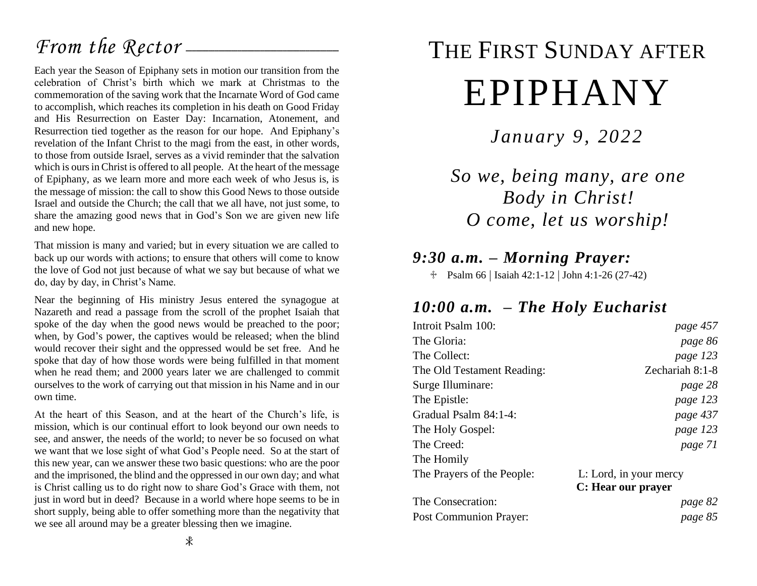## *From the Rector* –

Each year the Season of Epiphany sets in motion our transition from the celebration of Christ's birth which we mark at Christmas to the commemoration of the saving work that the Incarnate Word of God came to accomplish, which reaches its completion in his death on Good Friday and His Resurrection on Easter Day: Incarnation, Atonement, and Resurrection tied together as the reason for our hope. And Epiphany's revelation of the Infant Christ to the magi from the east, in other words, to those from outside Israel, serves as a vivid reminder that the salvation which is ours in Christ is offered to all people. At the heart of the message of Epiphany, as we learn more and more each week of who Jesus is, is the message of mission: the call to show this Good News to those outside Israel and outside the Church; the call that we all have, not just some, to share the amazing good news that in God's Son we are given new life and new hope.

That mission is many and varied; but in every situation we are called to back up our words with actions; to ensure that others will come to know the love of God not just because of what we say but because of what we do, day by day, in Christ's Name.

Near the beginning of His ministry Jesus entered the synagogue at Nazareth and read a passage from the scroll of the prophet Isaiah that spoke of the day when the good news would be preached to the poor; when, by God's power, the captives would be released; when the blind would recover their sight and the oppressed would be set free. And he spoke that day of how those words were being fulfilled in that moment when he read them; and 2000 years later we are challenged to commit ourselves to the work of carrying out that mission in his Name and in our own time.

At the heart of this Season, and at the heart of the Church's life, is mission, which is our continual effort to look beyond our own needs to see, and answer, the needs of the world; to never be so focused on what we want that we lose sight of what God's People need. So at the start of this new year, can we answer these two basic questions: who are the poor and the imprisoned, the blind and the oppressed in our own day; and what is Christ calling us to do right now to share God's Grace with them, not just in word but in deed? Because in a world where hope seems to be in short supply, being able to offer something more than the negativity that we see all around may be a greater blessing then we imagine.

# THE FIRST SUNDAY AFTER EPIPHANY

*January 9, 2022*

*So we, being many, are one Body in Christ! O come, let us worship!*

### *9:30 a.m. – Morning Prayer:*

 $\text{Psalm } 66 \mid \text{Isaiah } 42:1-12 \mid \text{John } 4:1-26 (27-42)$ 

## *10:00 a.m. – The Holy Eucharist*

| page 457               |
|------------------------|
| page 86                |
| page 123               |
| Zechariah 8:1-8        |
| page 28                |
| page 123               |
| page 437               |
| page 123               |
| page 71                |
|                        |
| L: Lord, in your mercy |
| C: Hear our prayer     |
| page 82                |
| page 85                |
|                        |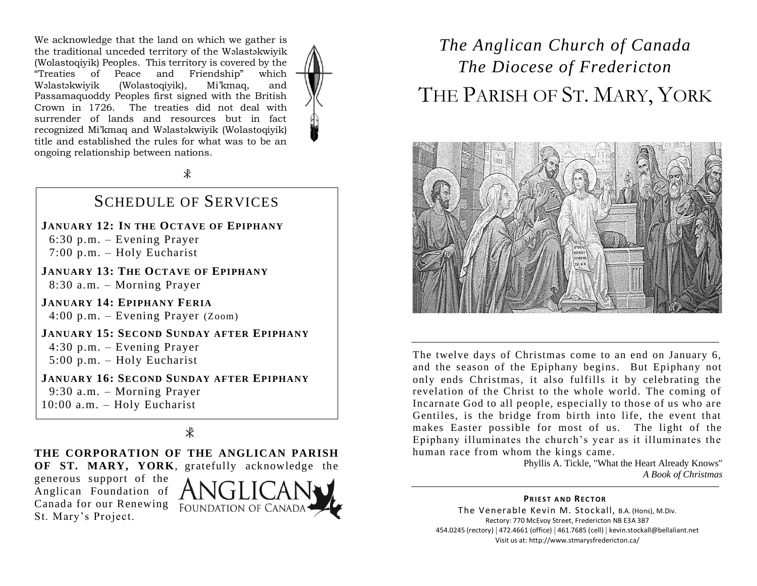We acknowledge that the land on which we gather is the traditional unceded territory of the Wəlastəkwiyik (Wolastoqiyik) Peoples. This territory is covered by the "Treaties of Peace and Friendship" which Wəlastəkwiyik (Wolastoqiyik), Mi'kmaq, and Passamaquoddy Peoples first signed with the British Crown in 1726. The treaties did not deal with surrender of lands and resources but in fact recognized Mi'kmaq and Wəlastəkwiyik (Wolastoqiyik) title and established the rules for what was to be an ongoing relationship between nations.

 $\ast$ 

#### SCHEDULE OF SERVICES

**JANUARY 12: IN THE OCTAVE OF EPIPHANY** 6:30 p.m. – Evening Prayer 7:00 p.m. – Holy Eucharist

**JANUARY 13: THE OCTAVE OF EPIPHANY** 8:30 a.m. – Morning Prayer

**JANUARY 14: EPIPHANY FERIA** 4:00 p.m. – Evening Prayer (Zoom)

**JANUARY 15: SECOND SUNDAY AFTER EPIPHANY** 4:30 p.m. – Evening Prayer 5:00 p.m. – Holy Eucharist

**JANUARY 16: SECOND SUNDAY AFTER EPIPHANY** 9:30 a.m. – Morning Prayer 10:00 a.m. – Holy Eucharist

 $\mathcal{R}$ 

#### **THE CORPORATION OF THE ANGLICAN PARISH**

**OF ST. MARY, YORK**, gratefully acknowledge the

generous support of the Anglican Foundation of Canada for our Renewing FOUNDATION OF CANADA St. Mary's Project.



## *The Anglican Church of Canada The Diocese of Fredericton* THE PARISH OF ST. MARY, YORK



The twelve days of Christmas come to an end on January 6, and the season of the Epiphany begins. But Epiphany not only ends Christmas, it also fulfills it by celebrating the revelation of the Christ to the whole world. The coming of Incarnate God to all people, especially to those of us who are Gentiles, is the bridge from birth into life, the event that makes Easter possible for most of us. The light of the Epiphany illuminates the church's year as it illuminates the human race from whom the kings came.

Phyllis A. Tickle, "What the Heart Already Knows" *A Book of Christmas*

**PRIEST AND RECTOR** The Venerable Kevin M. Stockall, B.A. (Hons), M.Div. Rectory: 770 McEvoy Street, Fredericton NB E3A 3B7 454.0245 (rectory) | 472.4661 (office) | 461.7685 (cell) | kevin.stockall@bellaliant.net Visit us at: http://www.stmarysfredericton.ca/